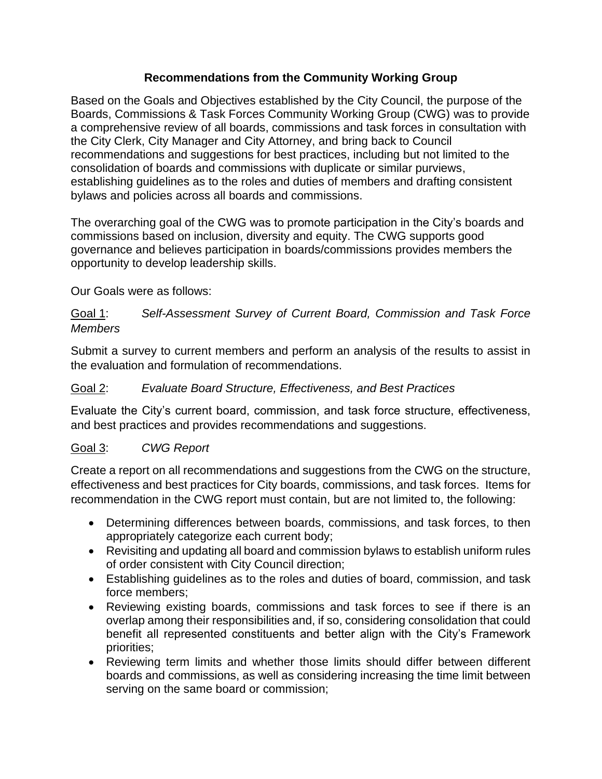## **Recommendations from the Community Working Group**

Based on the Goals and Objectives established by the City Council, the purpose of the Boards, Commissions & Task Forces Community Working Group (CWG) was to provide a comprehensive review of all boards, commissions and task forces in consultation with the City Clerk, City Manager and City Attorney, and bring back to Council recommendations and suggestions for best practices, including but not limited to the consolidation of boards and commissions with duplicate or similar purviews, establishing guidelines as to the roles and duties of members and drafting consistent bylaws and policies across all boards and commissions.

The overarching goal of the CWG was to promote participation in the City's boards and commissions based on inclusion, diversity and equity. The CWG supports good governance and believes participation in boards/commissions provides members the opportunity to develop leadership skills.

Our Goals were as follows:

## Goal 1: *Self-Assessment Survey of Current Board, Commission and Task Force Members*

Submit a survey to current members and perform an analysis of the results to assist in the evaluation and formulation of recommendations.

## Goal 2: *Evaluate Board Structure, Effectiveness, and Best Practices*

Evaluate the City's current board, commission, and task force structure, effectiveness, and best practices and provides recommendations and suggestions.

# Goal 3: *CWG Report*

Create a report on all recommendations and suggestions from the CWG on the structure, effectiveness and best practices for City boards, commissions, and task forces. Items for recommendation in the CWG report must contain, but are not limited to, the following:

- Determining differences between boards, commissions, and task forces, to then appropriately categorize each current body;
- Revisiting and updating all board and commission bylaws to establish uniform rules of order consistent with City Council direction;
- Establishing guidelines as to the roles and duties of board, commission, and task force members;
- Reviewing existing boards, commissions and task forces to see if there is an overlap among their responsibilities and, if so, considering consolidation that could benefit all represented constituents and better align with the City's Framework priorities;
- Reviewing term limits and whether those limits should differ between different boards and commissions, as well as considering increasing the time limit between serving on the same board or commission;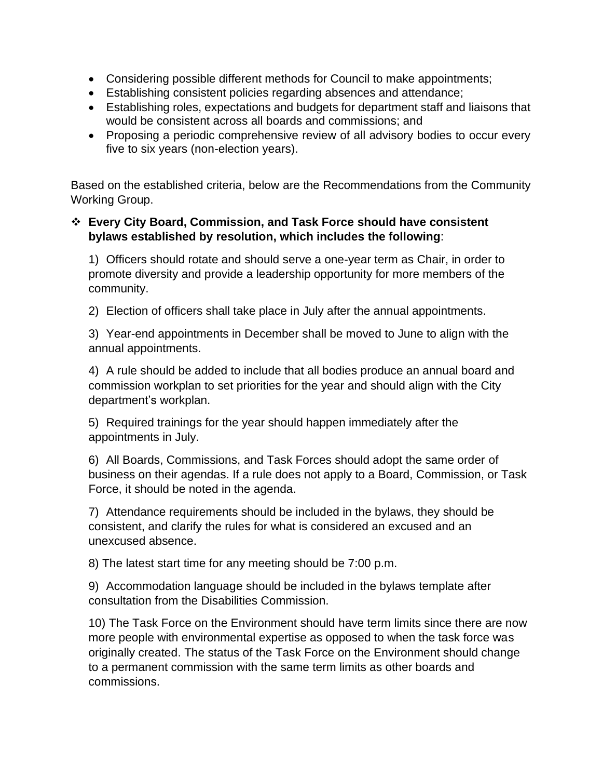- Considering possible different methods for Council to make appointments;
- Establishing consistent policies regarding absences and attendance;
- Establishing roles, expectations and budgets for department staff and liaisons that would be consistent across all boards and commissions; and
- Proposing a periodic comprehensive review of all advisory bodies to occur every five to six years (non-election years).

Based on the established criteria, below are the Recommendations from the Community Working Group.

## ❖ **Every City Board, Commission, and Task Force should have consistent bylaws established by resolution, which includes the following**:

1) Officers should rotate and should serve a one-year term as Chair, in order to promote diversity and provide a leadership opportunity for more members of the community.

2) Election of officers shall take place in July after the annual appointments.

3) Year-end appointments in December shall be moved to June to align with the annual appointments.

4) A rule should be added to include that all bodies produce an annual board and commission workplan to set priorities for the year and should align with the City department's workplan.

5) Required trainings for the year should happen immediately after the appointments in July.

6) All Boards, Commissions, and Task Forces should adopt the same order of business on their agendas. If a rule does not apply to a Board, Commission, or Task Force, it should be noted in the agenda.

7) Attendance requirements should be included in the bylaws, they should be consistent, and clarify the rules for what is considered an excused and an unexcused absence.

8) The latest start time for any meeting should be 7:00 p.m.

9) Accommodation language should be included in the bylaws template after consultation from the Disabilities Commission.

10) The Task Force on the Environment should have term limits since there are now more people with environmental expertise as opposed to when the task force was originally created. The status of the Task Force on the Environment should change to a permanent commission with the same term limits as other boards and commissions.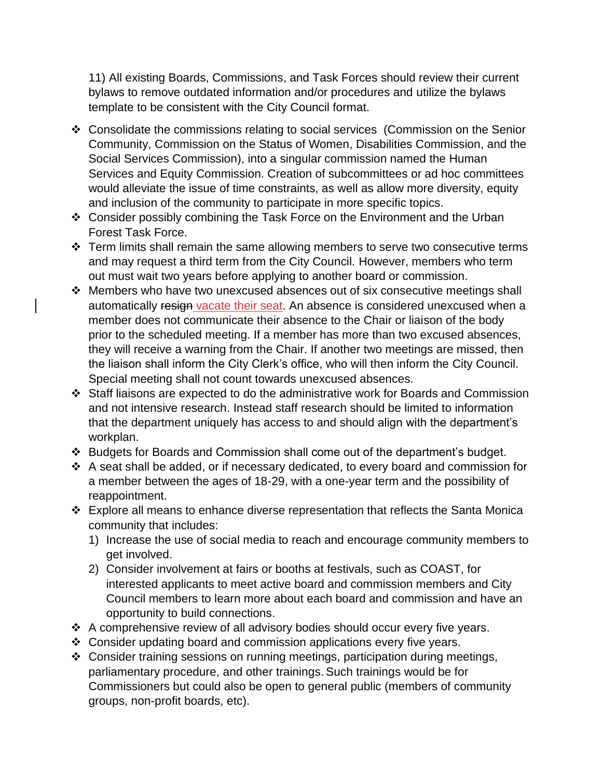11) All existing Boards, Commissions, and Task Forces should review their current bylaws to remove outdated information and/or procedures and utilize the bylaws template to be consistent with the City Council format.

- ❖ Consolidate the commissions relating to social services (Commission on the Senior Community, Commission on the Status of Women, Disabilities Commission, and the Social Services Commission), into a singular commission named the Human Services and Equity Commission. Creation of subcommittees or ad hoc committees would alleviate the issue of time constraints, as well as allow more diversity, equity and inclusion of the community to participate in more specific topics.
- ❖ Consider possibly combining the Task Force on the Environment and the Urban Forest Task Force.
- ❖ Term limits shall remain the same allowing members to serve two consecutive terms and may request a third term from the City Council. However, members who term out must wait two years before applying to another board or commission.
- ❖ Members who have two unexcused absences out of six consecutive meetings shall automatically resign vacate their seat. An absence is considered unexcused when a member does not communicate their absence to the Chair or liaison of the body prior to the scheduled meeting. If a member has more than two excused absences, they will receive a warning from the Chair. If another two meetings are missed, then the liaison shall inform the City Clerk's office, who will then inform the City Council. Special meeting shall not count towards unexcused absences.
- ❖ Staff liaisons are expected to do the administrative work for Boards and Commission and not intensive research. Instead staff research should be limited to information that the department uniquely has access to and should align with the department's workplan.
- ❖ Budgets for Boards and Commission shall come out of the department's budget.
- ❖ A seat shall be added, or if necessary dedicated, to every board and commission for a member between the ages of 18-29, with a one-year term and the possibility of reappointment.
- ❖ Explore all means to enhance diverse representation that reflects the Santa Monica community that includes:
	- 1) Increase the use of social media to reach and encourage community members to get involved.
	- 2) Consider involvement at fairs or booths at festivals, such as COAST, for interested applicants to meet active board and commission members and City Council members to learn more about each board and commission and have an opportunity to build connections.
- ❖ A comprehensive review of all advisory bodies should occur every five years.
- ❖ Consider updating board and commission applications every five years.
- ❖ Consider training sessions on running meetings, participation during meetings, parliamentary procedure, and other trainings.Such trainings would be for Commissioners but could also be open to general public (members of community groups, non-profit boards, etc).